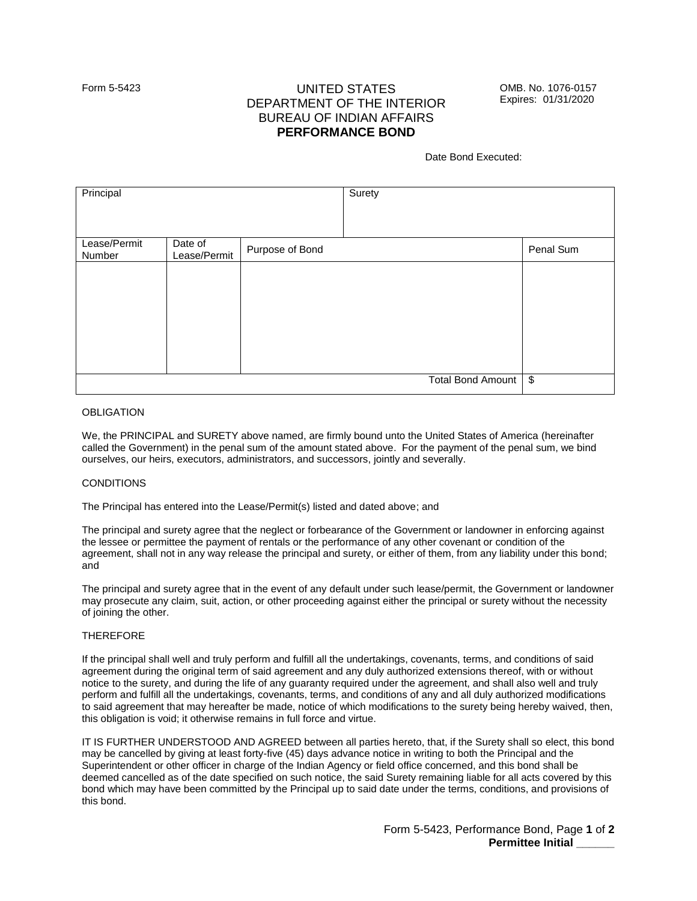# Form 5-5423 UNITED STATES OMB. No. 1076-0157<br>DEBARTMENIT OF THE INTERIOR EXPIRES: 01/31/2020 DEPARTMENT OF THE INTERIOR BUREAU OF INDIAN AFFAIRS **PERFORMANCE BOND**

Date Bond Executed:

| Principal              |                         |                 | Surety                   |                         |
|------------------------|-------------------------|-----------------|--------------------------|-------------------------|
| Lease/Permit<br>Number | Date of<br>Lease/Permit | Purpose of Bond |                          | Penal Sum               |
|                        |                         |                 |                          |                         |
|                        |                         |                 |                          |                         |
|                        |                         |                 |                          |                         |
|                        |                         |                 |                          |                         |
|                        |                         |                 | <b>Total Bond Amount</b> | $\sqrt[6]{\frac{1}{2}}$ |

## **OBLIGATION**

We, the PRINCIPAL and SURETY above named, are firmly bound unto the United States of America (hereinafter called the Government) in the penal sum of the amount stated above. For the payment of the penal sum, we bind ourselves, our heirs, executors, administrators, and successors, jointly and severally.

## **CONDITIONS**

The Principal has entered into the Lease/Permit(s) listed and dated above; and

The principal and surety agree that the neglect or forbearance of the Government or landowner in enforcing against the lessee or permittee the payment of rentals or the performance of any other covenant or condition of the agreement, shall not in any way release the principal and surety, or either of them, from any liability under this bond; and

The principal and surety agree that in the event of any default under such lease/permit, the Government or landowner may prosecute any claim, suit, action, or other proceeding against either the principal or surety without the necessity of joining the other.

## THEREFORE

If the principal shall well and truly perform and fulfill all the undertakings, covenants, terms, and conditions of said agreement during the original term of said agreement and any duly authorized extensions thereof, with or without notice to the surety, and during the life of any guaranty required under the agreement, and shall also well and truly perform and fulfill all the undertakings, covenants, terms, and conditions of any and all duly authorized modifications to said agreement that may hereafter be made, notice of which modifications to the surety being hereby waived, then, this obligation is void; it otherwise remains in full force and virtue.

IT IS FURTHER UNDERSTOOD AND AGREED between all parties hereto, that, if the Surety shall so elect, this bond may be cancelled by giving at least forty-five (45) days advance notice in writing to both the Principal and the Superintendent or other officer in charge of the Indian Agency or field office concerned, and this bond shall be deemed cancelled as of the date specified on such notice, the said Surety remaining liable for all acts covered by this bond which may have been committed by the Principal up to said date under the terms, conditions, and provisions of this bond.

> Form 5-5423, Performance Bond, Page **1** of **2 Permittee Initial \_\_\_\_\_\_**